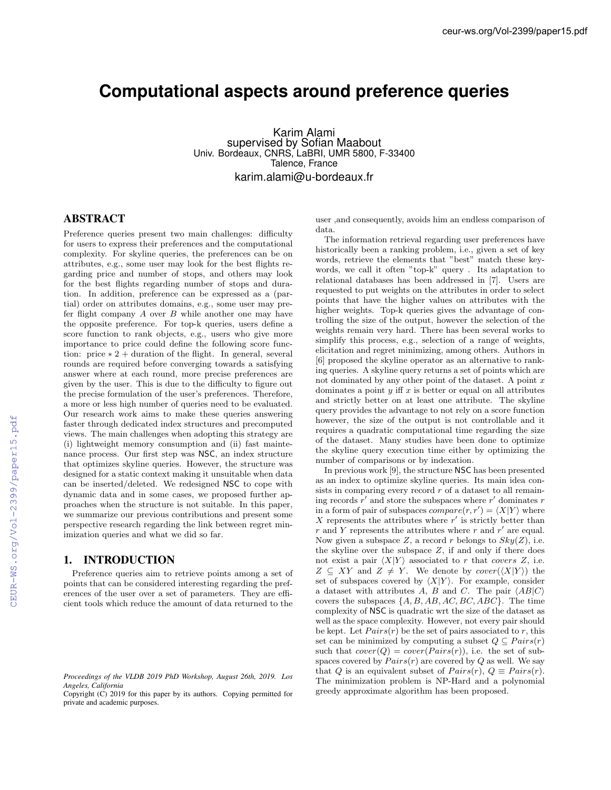# **Computational aspects around preference queries**

Karim Alami supervised by Sofian Maabout Univ. Bordeaux, CNRS, LaBRI, UMR 5800, F-33400 Talence, France karim.alami@u-bordeaux.fr

# ABSTRACT

Preference queries present two main challenges: difficulty for users to express their preferences and the computational complexity. For skyline queries, the preferences can be on attributes, e.g., some user may look for the best flights regarding price and number of stops, and others may look for the best flights regarding number of stops and duration. In addition, preference can be expressed as a (partial) order on attributes domains, e.g., some user may prefer flight company *A* over *B* while another one may have the opposite preference. For top-k queries, users define a score function to rank objects, e.g., users who give more importance to price could define the following score function: price  $* 2 +$  duration of the flight. In general, several rounds are required before converging towards a satisfying answer where at each round, more precise preferences are given by the user. This is due to the difficulty to figure out the precise formulation of the user's preferences. Therefore, a more or less high number of queries need to be evaluated. Our research work aims to make these queries answering faster through dedicated index structures and precomputed views. The main challenges when adopting this strategy are (i) lightweight memory consumption and (ii) fast maintenance process. Our first step was NSC, an index structure that optimizes skyline queries. However, the structure was designed for a static context making it unsuitable when data can be inserted/deleted. We redesigned NSC to cope with dynamic data and in some cases, we proposed further approaches when the structure is not suitable. In this paper, we summarize our previous contributions and present some perspective research regarding the link between regret minimization queries and what we did so far.

## 1. INTRODUCTION

Preference queries aim to retrieve points among a set of points that can be considered interesting regarding the preferences of the user over a set of parameters. They are efficient tools which reduce the amount of data returned to the user ,and consequently, avoids him an endless comparison of data.

The information retrieval regarding user preferences have historically been a ranking problem, i.e., given a set of key words, retrieve the elements that "best" match these keywords, we call it often "top-k" query . Its adaptation to relational databases has been addressed in [7]. Users are requested to put weights on the attributes in order to select points that have the higher values on attributes with the higher weights. Top-k queries gives the advantage of controlling the size of the output, however the selection of the weights remain very hard. There has been several works to simplify this process, e.g., selection of a range of weights, elicitation and regret minimizing, among others. Authors in [6] proposed the skyline operator as an alternative to ranking queries. A skyline query returns a set of points which are not dominated by any other point of the dataset. A point *x* dominates a point  $y$  iff  $x$  is better or equal on all attributes and strictly better on at least one attribute. The skyline query provides the advantage to not rely on a score function however, the size of the output is not controllable and it requires a quadratic computational time regarding the size of the dataset. Many studies have been done to optimize the skyline query execution time either by optimizing the number of comparisons or by indexation.

In previous work [9], the structure NSC has been presented as an index to optimize skyline queries. Its main idea consists in comparing every record *r* of a dataset to all remaining records  $r'$  and store the subspaces where  $r'$  dominates  $r'$ in a form of pair of subspaces  $compare(r, r') = \langle X | Y \rangle$  where  $X$  represents the attributes where  $r'$  is strictly better than  $r$  and  $Y$  represents the attributes where  $r$  and  $r'$  are equal. Now given a subspace *Z*, a record *r* belongs to  $Sky(Z)$ , i.e. the skyline over the subspace *Z*, if and only if there does not exist a pair  $\langle X|Y\rangle$  associated to *r* that *covers Z*, i.e.  $Z \subseteq XY$  and  $Z \neq Y$ . We denote by *cover*( $\langle X|Y \rangle$ ) the set of subspaces covered by  $\langle X|Y\rangle$ . For example, consider a dataset with attributes *A*, *B* and *C*. The pair  $\langle AB|C \rangle$ covers the subspaces *{A, B, AB, AC, BC, ABC}*. The time complexity of NSC is quadratic wrt the size of the dataset as well as the space complexity. However, not every pair should be kept. Let  $Pairs(r)$  be the set of pairs associated to  $r$ , this set can be minimized by computing a subset  $Q \subseteq Pairs(r)$ such that  $cover(Q) = cover(Pairs(r))$ , i.e. the set of subspaces covered by  $Pairs(r)$  are covered by  $Q$  as well. We say that *Q* is an equivalent subset of  $Pairs(r)$ ,  $Q \equiv \text{Pairs}(r)$ . The minimization problem is NP-Hard and a polynomial greedy approximate algorithm has been proposed.

*Proceedings of the VLDB 2019 PhD Workshop, August 26th, 2019. Los Angeles, California*

Copyright (C) 2019 for this paper by its authors. Copying permitted for private and academic purposes.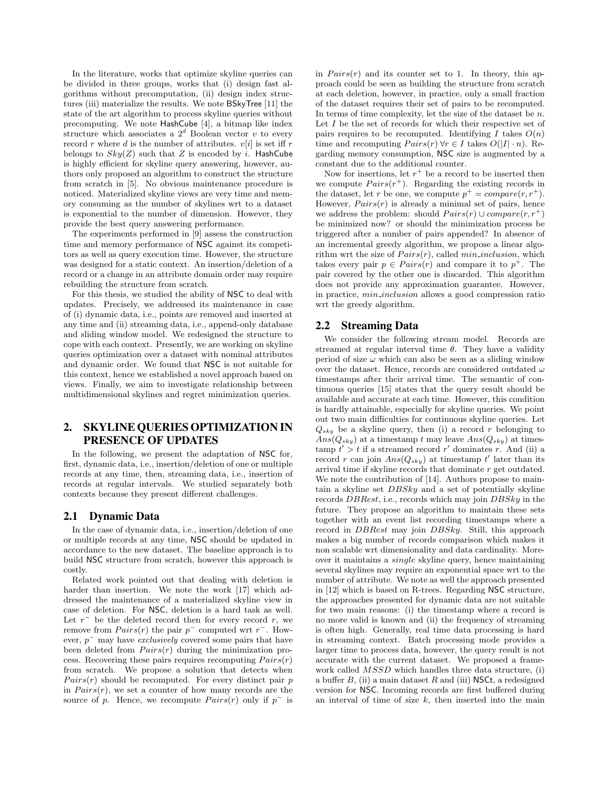In the literature, works that optimize skyline queries can be divided in three groups, works that (i) design fast algorithms without precomputation, (ii) design index structures (iii) materialize the results. We note BSkyTree [11] the state of the art algorithm to process skyline queries without precomputing. We note HashCube [4], a bitmap like index structure which associates a  $2^d$  Boolean vector *v* to every record *r* where *d* is the number of attributes.  $v[i]$  is set iff *r* belongs to  $Sky(Z)$  such that  $Z$  is encoded by  $i$ . HashCube is highly efficient for skyline query answering, however, authors only proposed an algorithm to construct the structure from scratch in [5]. No obvious maintenance procedure is noticed. Materialized skyline views are very time and memory consuming as the number of skylines wrt to a dataset is exponential to the number of dimension. However, they provide the best query answering performance.

The experiments performed in [9] assess the construction time and memory performance of NSC against its competitors as well as query execution time. However, the structure was designed for a static context. An insertion/deletion of a record or a change in an attribute domain order may require rebuilding the structure from scratch.

For this thesis, we studied the ability of NSC to deal with updates. Precisely, we addressed its maintenance in case of (i) dynamic data, i.e., points are removed and inserted at any time and (ii) streaming data, i.e., append-only database and sliding window model. We redesigned the structure to cope with each context. Presently, we are working on skyline queries optimization over a dataset with nominal attributes and dynamic order. We found that NSC is not suitable for this context, hence we established a novel approach based on views. Finally, we aim to investigate relationship between multidimensional skylines and regret minimization queries.

# 2. SKYLINE QUERIES OPTIMIZATION IN PRESENCE OF UPDATES

In the following, we present the adaptation of NSC for, first, dynamic data, i.e., insertion/deletion of one or multiple records at any time, then, streaming data, i.e., insertion of records at regular intervals. We studied separately both contexts because they present different challenges.

### 2.1 Dynamic Data

In the case of dynamic data, i.e., insertion/deletion of one or multiple records at any time, NSC should be updated in accordance to the new dataset. The baseline approach is to build NSC structure from scratch, however this approach is costly.

Related work pointed out that dealing with deletion is harder than insertion. We note the work [17] which addressed the maintenance of a materialized skyline view in case of deletion. For NSC, deletion is a hard task as well. Let  $r^-$  be the deleted record then for every record  $r$ , we remove from  $Pairs(r)$  the pair  $p^-$  computed wrt  $r^-$ . However,  $p^-$  may have *exclusively* covered some pairs that have been deleted from  $Pairs(r)$  during the minimization process. Recovering these pairs requires recomputing  $Pairs(r)$ from scratch. We propose a solution that detects when  $Pairs(r)$  should be recomputed. For every distinct pair  $p$ in  $Pairs(r)$ , we set a counter of how many records are the source of *p*. Hence, we recompute  $Pairs(r)$  only if  $p^-$  is in  $Pairs(r)$  and its counter set to 1. In theory, this approach could be seen as building the structure from scratch at each deletion, however, in practice, only a small fraction of the dataset requires their set of pairs to be recomputed. In terms of time complexity, let the size of the dataset be *n*. Let *I* be the set of records for which their respective set of pairs requires to be recomputed. Identifying *I* takes  $O(n)$ time and recomputing  $Pairs(r) \forall r \in I$  takes  $O(|I| \cdot n)$ . Regarding memory consumption, NSC size is augmented by a constant due to the additional counter.

Now for insertions, let  $r^+$  be a record to be inserted then we compute  $Pairs(r^+)$ . Regarding the existing records in the dataset, let *r* be one, we compute  $p^+ = \text{compare}(r, r^+).$ However,  $Pairs(r)$  is already a minimal set of pairs, hence we address the problem: should  $Pairs(r) \cup compare(r, r^+)$ be minimized now? or should the minimization process be triggered after a number of pairs appended? In absence of an incremental greedy algorithm, we propose a linear algorithm wrt the size of  $Pairs(r)$ , called  $min\_inclusion$ , which takes every pair  $p \in \text{Pairs}(r)$  and compare it to  $p^+$ . The pair covered by the other one is discarded. This algorithm does not provide any approximation guarantee. However, in practice, *min inclusion* allows a good compression ratio wrt the greedy algorithm.

#### 2.2 Streaming Data

We consider the following stream model. Records are streamed at regular interval time  $\theta$ . They have a validity period of size  $\omega$  which can also be seen as a sliding window over the dataset. Hence, records are considered outdated  $\omega$ timestamps after their arrival time. The semantic of continuous queries [15] states that the query result should be available and accurate at each time. However, this condition is hardly attainable, especially for skyline queries. We point out two main difficulties for continuous skyline queries. Let  $Q_{sky}$  be a skyline query, then (i) a record *r* belonging to  $Ans(Q_{sky})$  at a timestamp *t* may leave  $Ans(Q_{sky})$  at times- $\tanh t' > t$  if a streamed record r' dominates r. And (ii) a record *r* can join  $Ans(Q_{sky})$  at timestamp  $t'$  later than its arrival time if skyline records that dominate *r* get outdated. We note the contribution of [14]. Authors propose to maintain a skyline set *DBSky* and a set of potentially skyline records *DBRest*, i.e., records which may join *DBSky* in the future. They propose an algorithm to maintain these sets together with an event list recording timestamps where a record in *DBRest* may join *DBSky*. Still, this approach makes a big number of records comparison which makes it non scalable wrt dimensionality and data cardinality. Moreover it maintains a *single* skyline query, hence maintaining several skylines may require an exponential space wrt to the number of attribute. We note as well the approach presented in [12] which is based on R-trees. Regarding NSC structure, the approaches presented for dynamic data are not suitable for two main reasons: (i) the timestamp where a record is no more valid is known and (ii) the frequency of streaming is often high. Generally, real time data processing is hard in streaming context. Batch processing mode provides a larger time to process data, however, the query result is not accurate with the current dataset. We proposed a framework called *MSSD* which handles three data structure, (i) a buffer  $B$ , (ii) a main dataset  $R$  and (iii) NSCt, a redesigned version for NSC. Incoming records are first buffered during an interval of time of size *k*, then inserted into the main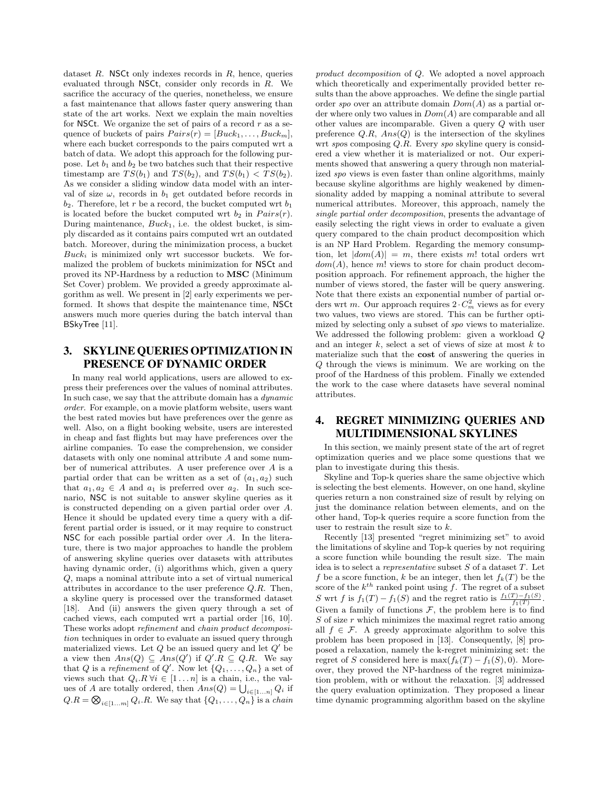dataset *R*. NSCt only indexes records in *R*, hence, queries evaluated through NSCt, consider only records in *R*. We sacrifice the accuracy of the queries, nonetheless, we ensure a fast maintenance that allows faster query answering than state of the art works. Next we explain the main novelties for NSCt. We organize the set of pairs of a record *r* as a sequence of buckets of pairs  $Pairs(r) = [Buck_1, \ldots, Buck_m],$ where each bucket corresponds to the pairs computed wrt a batch of data. We adopt this approach for the following purpose. Let  $b_1$  and  $b_2$  be two batches such that their respective timestamp are  $TS(b_1)$  and  $TS(b_2)$ , and  $TS(b_1) < TS(b_2)$ . As we consider a sliding window data model with an interval of size  $\omega$ , records in  $b_1$  get outdated before records in  $b_2$ . Therefore, let *r* be a record, the bucket computed wrt  $b_1$ is located before the bucket computed wrt  $b_2$  in  $Pairs(r)$ . During maintenance, *Buck*1, i.e. the oldest bucket, is simply discarded as it contains pairs computed wrt an outdated batch. Moreover, during the minimization process, a bucket *Buck<sup>i</sup>* is minimized only wrt successor buckets. We formalized the problem of buckets minimization for NSCt and proved its NP-Hardness by a reduction to MSC (Minimum Set Cover) problem. We provided a greedy approximate algorithm as well. We present in [2] early experiments we performed. It shows that despite the maintenance time, NSCt answers much more queries during the batch interval than BSkyTree [11].

# 3. SKYLINE QUERIES OPTIMIZATION IN PRESENCE OF DYNAMIC ORDER

In many real world applications, users are allowed to express their preferences over the values of nominal attributes. In such case, we say that the attribute domain has a *dynamic order*. For example, on a movie platform website, users want the best rated movies but have preferences over the genre as well. Also, on a flight booking website, users are interested in cheap and fast flights but may have preferences over the airline companies. To ease the comprehension, we consider datasets with only one nominal attribute *A* and some number of numerical attributes. A user preference over *A* is a partial order that can be written as a set of  $(a_1, a_2)$  such that  $a_1, a_2 \in A$  and  $a_1$  is preferred over  $a_2$ . In such scenario, NSC is not suitable to answer skyline queries as it is constructed depending on a given partial order over *A*. Hence it should be updated every time a query with a different partial order is issued, or it may require to construct NSC for each possible partial order over *A*. In the literature, there is two major approaches to handle the problem of answering skyline queries over datasets with attributes having dynamic order, (i) algorithms which, given a query *Q*, maps a nominal attribute into a set of virtual numerical attributes in accordance to the user preference *Q.R*. Then, a skyline query is processed over the transformed dataset [18]. And (ii) answers the given query through a set of cached views, each computed wrt a partial order [16, 10]. These works adopt *refinement* and *chain product decomposition* techniques in order to evaluate an issued query through materialized views. Let  $Q$  be an issued query and let  $Q'$  be a view then  $Ans(Q) \subseteq Ans(Q')$  if  $Q'.R \subseteq Q.R.$  We say that *Q* is a *refinement* of *Q'*. Now let  $\{Q_1, \ldots, Q_n\}$  a set of views such that  $Q_i \, R \, \forall i \in [1 \dots n]$  is a chain, i.e., the values of *A* are totally ordered, then  $Ans(Q) = \bigcup_{i \in [1...n]} Q_i$  if  $Q.R = \bigotimes_{i \in [1...m]} Q_i.R$ . We say that  $\{Q_1, \ldots, Q_n\}$  is a *chain* 

*product decomposition* of *Q*. We adopted a novel approach which theoretically and experimentally provided better results than the above approaches. We define the single partial order *spo* over an attribute domain *Dom*(*A*) as a partial order where only two values in *Dom*(*A*) are comparable and all other values are incomparable. Given a query *Q* with user preference  $Q.R$ ,  $Ans(Q)$  is the intersection of the skylines wrt *spo*s composing *Q.R*. Every *spo* skyline query is considered a view whether it is materialized or not. Our experiments showed that answering a query through non materialized *spo* views is even faster than online algorithms, mainly because skyline algorithms are highly weakened by dimensionality added by mapping a nominal attribute to several numerical attributes. Moreover, this approach, namely the *single partial order decomposition*, presents the advantage of easily selecting the right views in order to evaluate a given query compared to the chain product decomposition which is an NP Hard Problem. Regarding the memory consumption, let  $|dom(A)| = m$ , there exists m! total orders wrt *dom*(*A*), hence *m*! views to store for chain product decomposition approach. For refinement approach, the higher the number of views stored, the faster will be query answering. Note that there exists an exponential number of partial orders wrt *m*. Our approach requires  $2 \cdot C_m^2$  views as for every two values, two views are stored. This can be further optimized by selecting only a subset of *spo* views to materialize. We addressed the following problem: given a workload *Q* and an integer *k*, select a set of views of size at most *k* to materialize such that the cost of answering the queries in *Q* through the views is minimum. We are working on the proof of the Hardness of this problem. Finally we extended the work to the case where datasets have several nominal attributes.

## 4. REGRET MINIMIZING QUERIES AND MULTIDIMENSIONAL SKYLINES

In this section, we mainly present state of the art of regret optimization queries and we place some questions that we plan to investigate during this thesis.

Skyline and Top-k queries share the same objective which is selecting the best elements. However, on one hand, skyline queries return a non constrained size of result by relying on just the dominance relation between elements, and on the other hand, Top-k queries require a score function from the user to restrain the result size to *k*.

Recently [13] presented "regret minimizing set" to avoid the limitations of skyline and Top-k queries by not requiring a score function while bounding the result size. The main idea is to select a *representative* subset *S* of a dataset *T*. Let *f* be a score function, *k* be an integer, then let  $f_k(T)$  be the score of the  $k^{th}$  ranked point using f. The regret of a subset *S* wrt *f* is  $f_1(T) - f_1(S)$  and the regret ratio is  $\frac{f_1(T) - f_1(S)}{f_1(T)}$ . Given a family of functions  $F$ , the problem here is to find *S* of size *r* which minimizes the maximal regret ratio among all  $f \in \mathcal{F}$ . A greedy approximate algorithm to solve this problem has been proposed in [13]. Consequently, [8] proposed a relaxation, namely the k-regret minimizing set: the regret of *S* considered here is  $\max(f_k(T) - f_1(S), 0)$ . Moreover, they proved the NP-hardness of the regret minimization problem, with or without the relaxation. [3] addressed the query evaluation optimization. They proposed a linear time dynamic programming algorithm based on the skyline